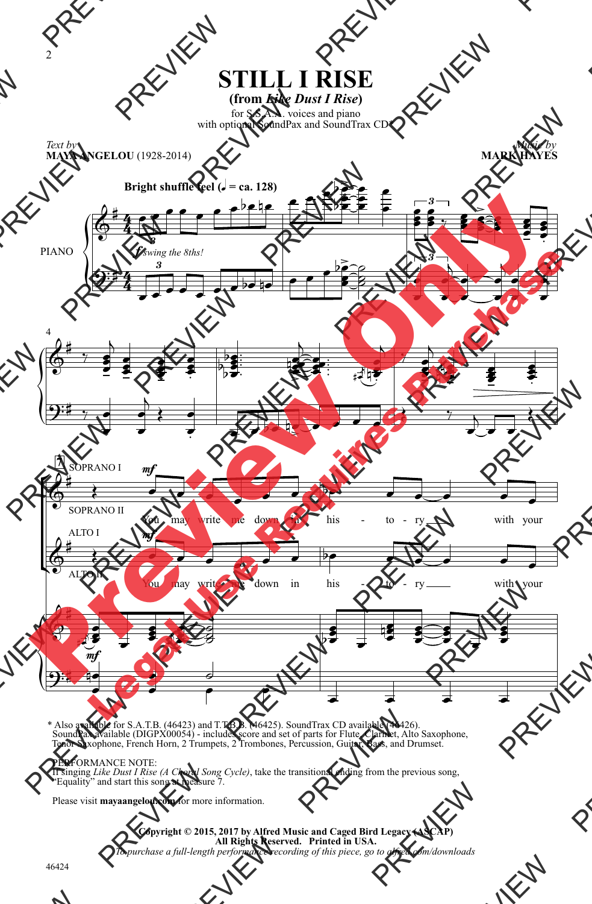

for S.S.A.A. voices and piano **(from** *Like Dust I Rise***)**

with optional SoundPax and SoundTrax CD\*

*Text by* **MAYA ANGELOU** (1928-2014)

*Music by* **MARK HAYES**



\* Also available for S.A.T.B. (46423) and T.T.B.B. (46425). SoundTrax CD available (46426).<br>SoundPax available (DIGPX00054) - includes score and set of parts for Flute, Clarinet, Alto Saxophone,<br>Tenor Saxophone, French Hor

PERFORMANCE NOTE:

If singing *Like Dust I Rise (A Choral Song Cycle)*, take the transitional ending from the previous song, "Equality" and start this song at measure 7.

Please visit **mayaangelou.com** for more information.

**Copyright © 2015, 2017 by Alfred Music and Caged Bird Legacy (ASCAP) All Rights Reserved. Printed in USA.**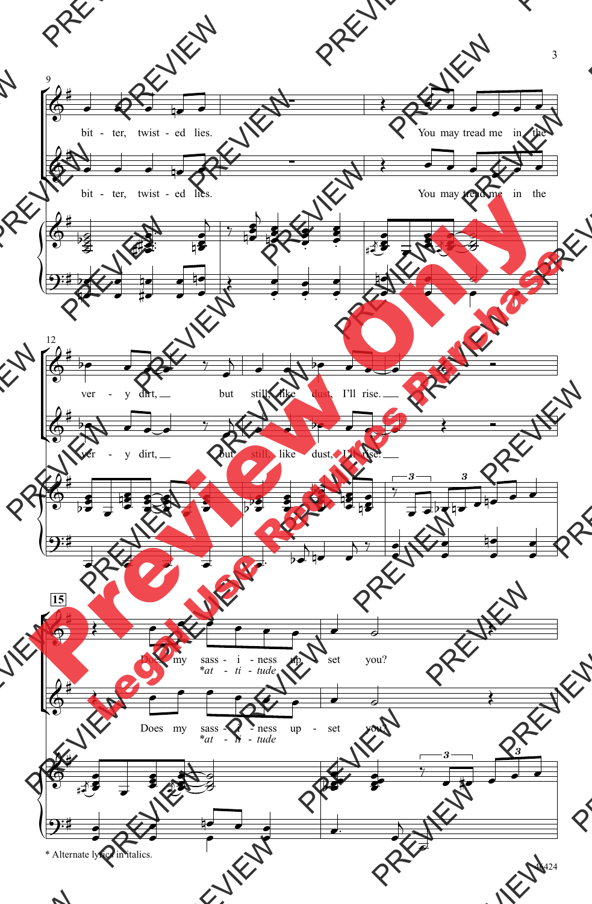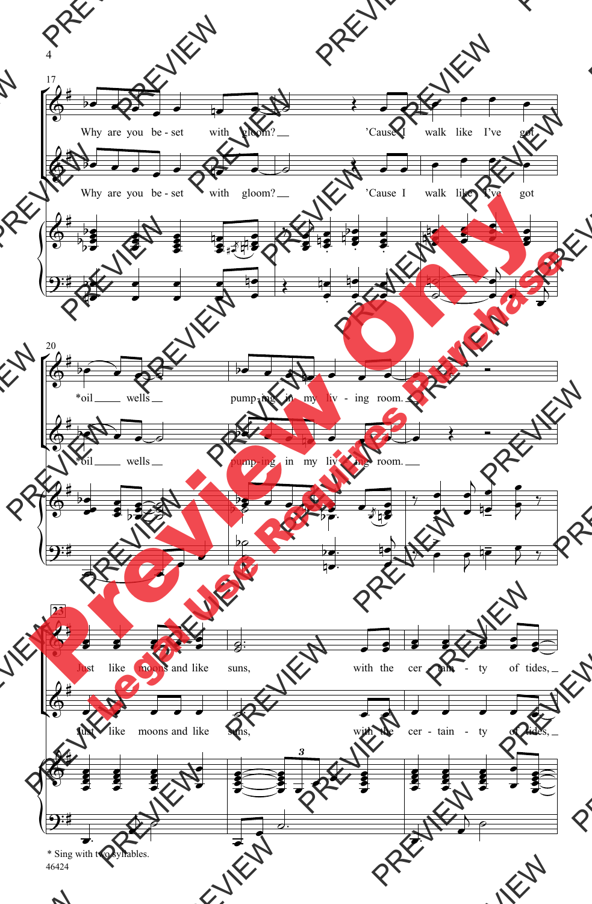

<sup>46424</sup>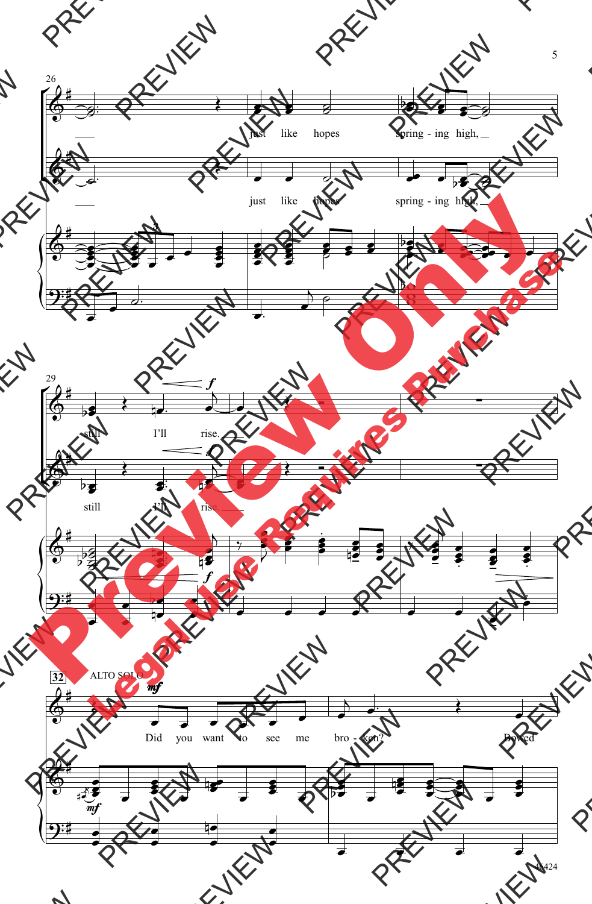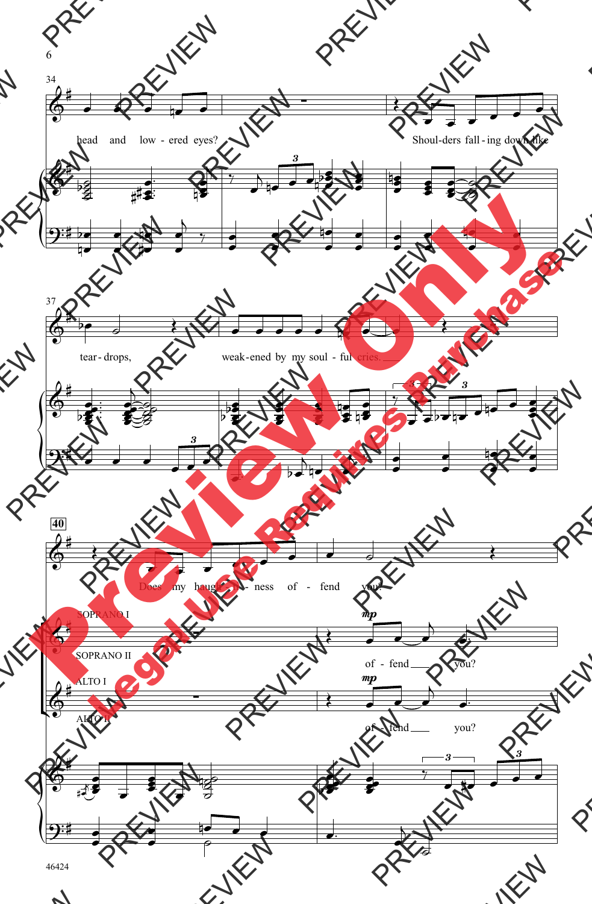

<sup>46424</sup>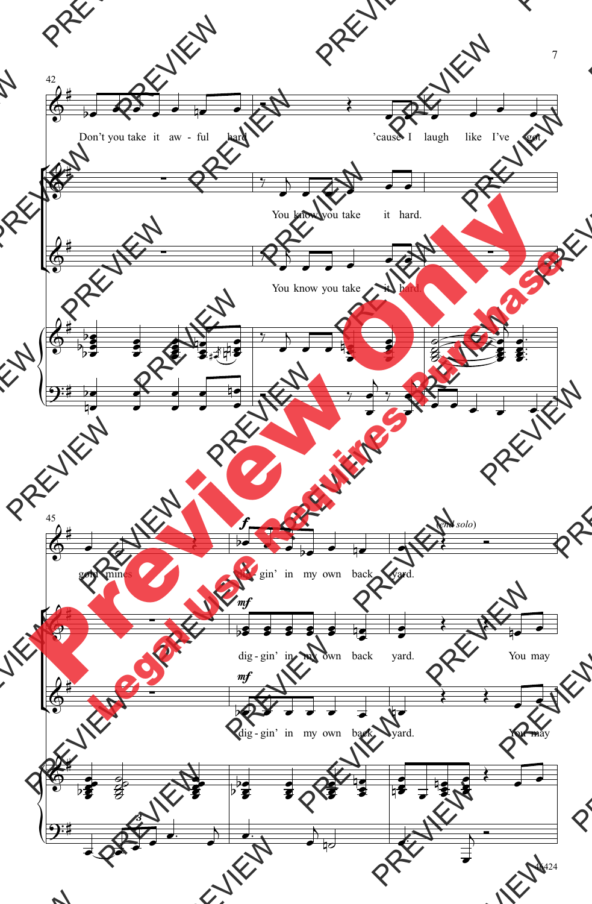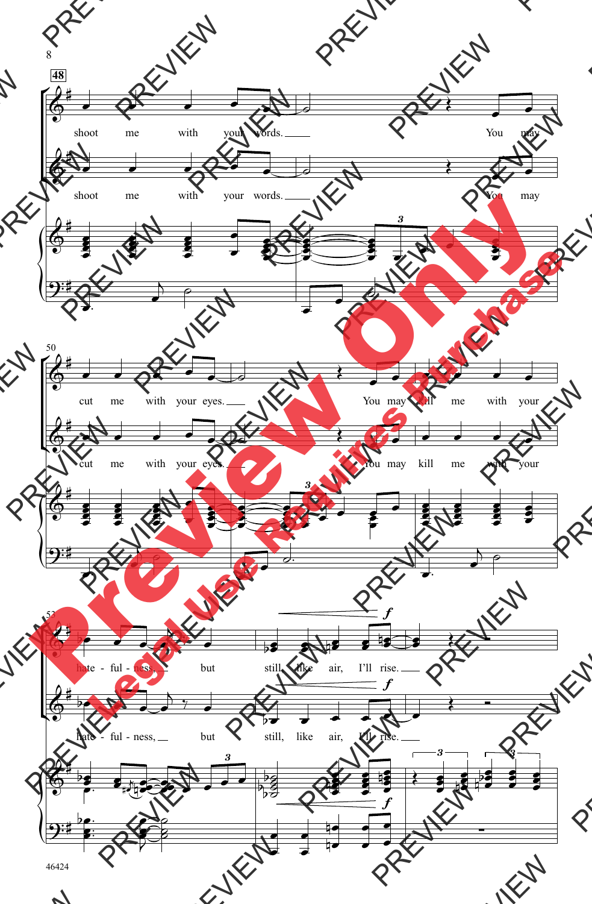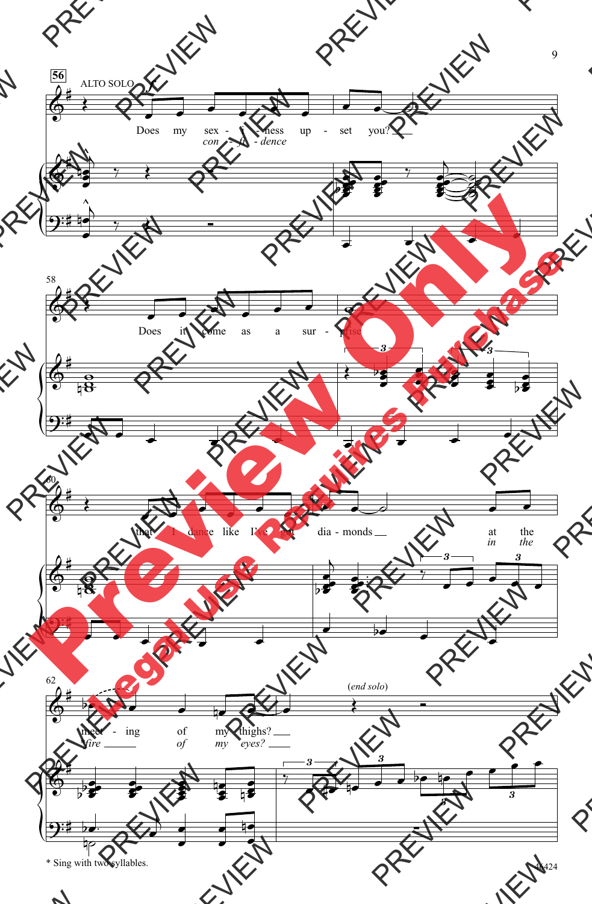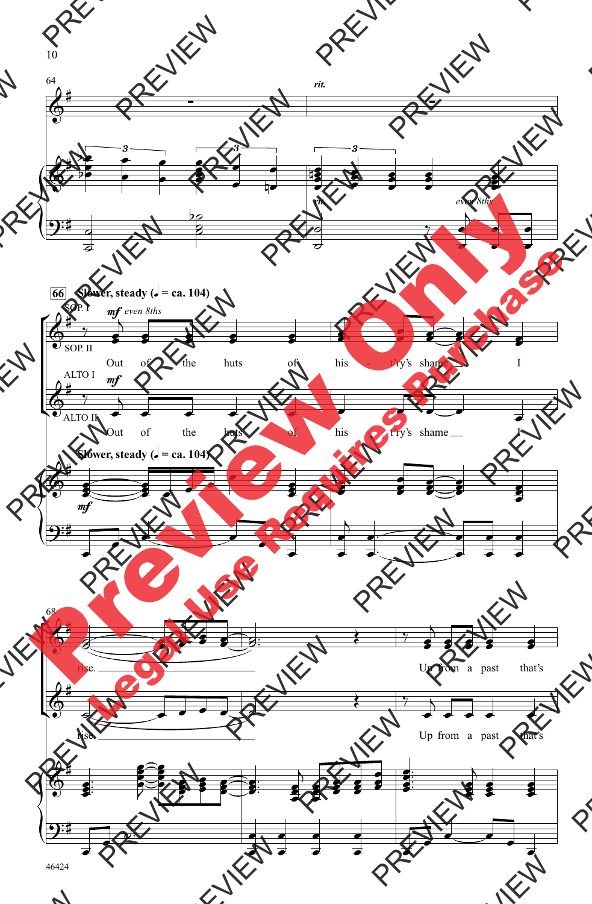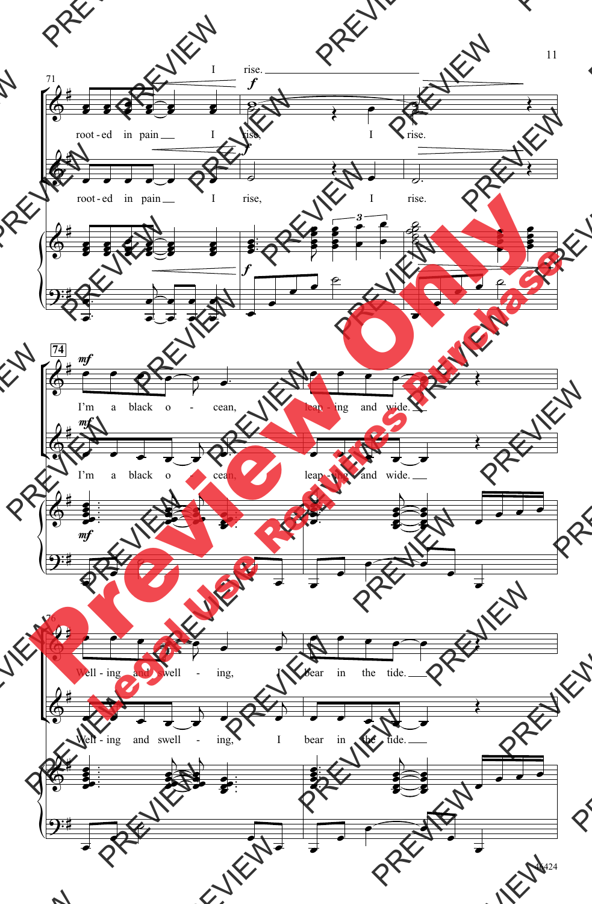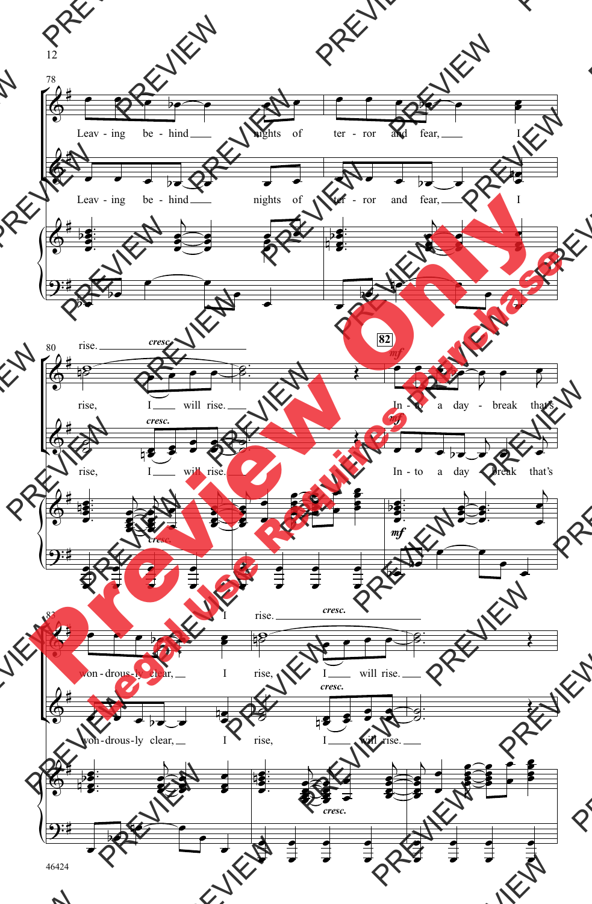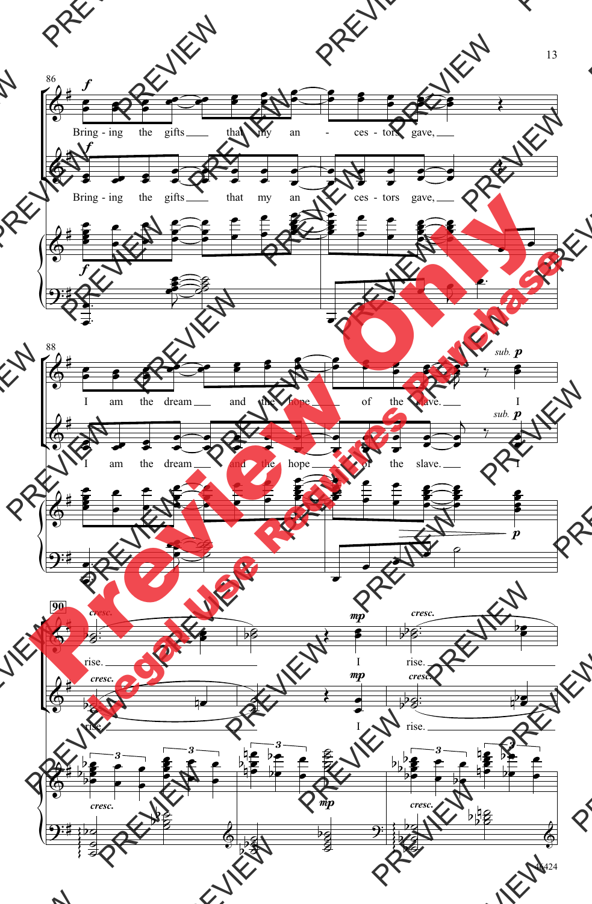